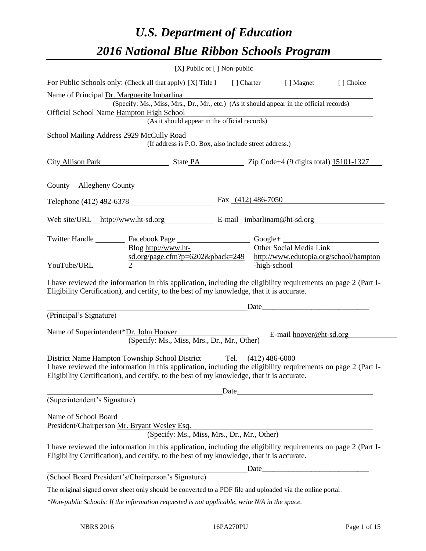# *U.S. Department of Education 2016 National Blue Ribbon Schools Program*

|                                                                      |                                                                                                                                                                                                                                                                                                                                                                                                                                                       | [X] Public or [] Non-public |  |                         |                                        |
|----------------------------------------------------------------------|-------------------------------------------------------------------------------------------------------------------------------------------------------------------------------------------------------------------------------------------------------------------------------------------------------------------------------------------------------------------------------------------------------------------------------------------------------|-----------------------------|--|-------------------------|----------------------------------------|
|                                                                      | For Public Schools only: (Check all that apply) [X] Title I [] Charter [] Magnet                                                                                                                                                                                                                                                                                                                                                                      |                             |  |                         | [] Choice                              |
| Name of Principal Dr. Marguerite Imbarlina                           |                                                                                                                                                                                                                                                                                                                                                                                                                                                       |                             |  |                         |                                        |
| Official School Name Hampton High School                             | (Specify: Ms., Miss, Mrs., Dr., Mr., etc.) (As it should appear in the official records)                                                                                                                                                                                                                                                                                                                                                              |                             |  |                         |                                        |
|                                                                      | (As it should appear in the official records)                                                                                                                                                                                                                                                                                                                                                                                                         |                             |  |                         |                                        |
| School Mailing Address 2929 McCully Road                             | (If address is P.O. Box, also include street address.)                                                                                                                                                                                                                                                                                                                                                                                                |                             |  |                         |                                        |
|                                                                      | City Allison Park State PA State PA Zip Code+4 (9 digits total) 15101-1327                                                                                                                                                                                                                                                                                                                                                                            |                             |  |                         |                                        |
|                                                                      | County Allegheny County                                                                                                                                                                                                                                                                                                                                                                                                                               |                             |  |                         |                                        |
|                                                                      | Telephone (412) 492-6378                                                                                                                                                                                                                                                                                                                                                                                                                              | Fax $(412)$ 486-7050        |  |                         |                                        |
|                                                                      | Web site/URL_http://www.ht-sd.org E-mail_imbarlinam@ht-sd.org                                                                                                                                                                                                                                                                                                                                                                                         |                             |  |                         |                                        |
|                                                                      | Twitter Handle ___________ Facebook Page ________________________Google+ _________                                                                                                                                                                                                                                                                                                                                                                    |                             |  |                         |                                        |
|                                                                      | Blog http://www.ht-                                                                                                                                                                                                                                                                                                                                                                                                                                   |                             |  | Other Social Media Link |                                        |
| YouTube/URL                                                          | $sd.org/page.cfm?p=6202&pback=249$<br>$\begin{array}{c c c c c} \hline \rule{0pt}{2ex} & \rule{0pt}{2ex} & \rule{0pt}{2ex} & \rule{0pt}{2ex} & \rule{0pt}{2ex} & \rule{0pt}{2ex} & \rule{0pt}{2ex} & \rule{0pt}{2ex} & \rule{0pt}{2ex} & \rule{0pt}{2ex} & \rule{0pt}{2ex} & \rule{0pt}{2ex} & \rule{0pt}{2ex} & \rule{0pt}{2ex} & \rule{0pt}{2ex} & \rule{0pt}{2ex} & \rule{0pt}{2ex} & \rule{0pt}{2ex} & \rule{0pt}{2ex} & \rule{0pt}{2ex} & \rule$ |                             |  | high-school             | http://www.edutopia.org/school/hampton |
|                                                                      | I have reviewed the information in this application, including the eligibility requirements on page 2 (Part I-<br>Eligibility Certification), and certify, to the best of my knowledge, that it is accurate.                                                                                                                                                                                                                                          |                             |  | Date                    |                                        |
| (Principal's Signature)                                              |                                                                                                                                                                                                                                                                                                                                                                                                                                                       |                             |  |                         |                                        |
| Name of Superintendent*Dr. John Hoover                               | (Specify: Ms., Miss, Mrs., Dr., Mr., Other)                                                                                                                                                                                                                                                                                                                                                                                                           |                             |  | E-mail hoover@ht-sd.org |                                        |
|                                                                      | District Name Hampton Township School District Tel. (412) 486-6000<br>I have reviewed the information in this application, including the eligibility requirements on page 2 (Part I-<br>Eligibility Certification), and certify, to the best of my knowledge, that it is accurate.                                                                                                                                                                    |                             |  |                         |                                        |
|                                                                      |                                                                                                                                                                                                                                                                                                                                                                                                                                                       |                             |  |                         |                                        |
| (Superintendent's Signature)                                         |                                                                                                                                                                                                                                                                                                                                                                                                                                                       |                             |  |                         |                                        |
| Name of School Board<br>President/Chairperson Mr. Bryant Wesley Esq. | (Specify: Ms., Miss, Mrs., Dr., Mr., Other)                                                                                                                                                                                                                                                                                                                                                                                                           |                             |  |                         |                                        |
|                                                                      | I have reviewed the information in this application, including the eligibility requirements on page 2 (Part I-<br>Eligibility Certification), and certify, to the best of my knowledge, that it is accurate.                                                                                                                                                                                                                                          |                             |  |                         |                                        |
|                                                                      |                                                                                                                                                                                                                                                                                                                                                                                                                                                       |                             |  |                         |                                        |
|                                                                      | (School Board President's/Chairperson's Signature)                                                                                                                                                                                                                                                                                                                                                                                                    |                             |  |                         |                                        |
|                                                                      | The original signed cover sheet only should be converted to a PDF file and uploaded via the online portal.                                                                                                                                                                                                                                                                                                                                            |                             |  |                         |                                        |
|                                                                      | *Non-public Schools: If the information requested is not applicable, write N/A in the space.                                                                                                                                                                                                                                                                                                                                                          |                             |  |                         |                                        |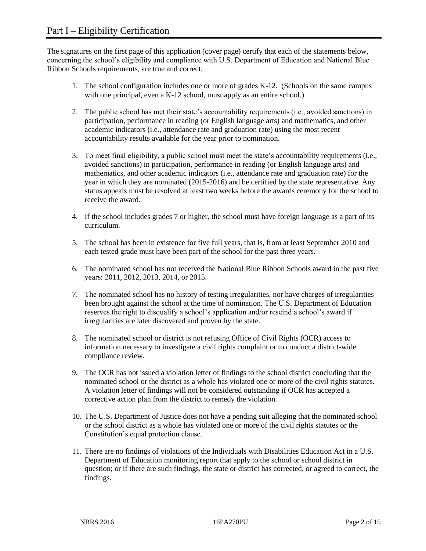The signatures on the first page of this application (cover page) certify that each of the statements below, concerning the school's eligibility and compliance with U.S. Department of Education and National Blue Ribbon Schools requirements, are true and correct.

- 1. The school configuration includes one or more of grades K-12. (Schools on the same campus with one principal, even a K-12 school, must apply as an entire school.)
- 2. The public school has met their state's accountability requirements (i.e., avoided sanctions) in participation, performance in reading (or English language arts) and mathematics, and other academic indicators (i.e., attendance rate and graduation rate) using the most recent accountability results available for the year prior to nomination.
- 3. To meet final eligibility, a public school must meet the state's accountability requirements (i.e., avoided sanctions) in participation, performance in reading (or English language arts) and mathematics, and other academic indicators (i.e., attendance rate and graduation rate) for the year in which they are nominated (2015-2016) and be certified by the state representative. Any status appeals must be resolved at least two weeks before the awards ceremony for the school to receive the award.
- 4. If the school includes grades 7 or higher, the school must have foreign language as a part of its curriculum.
- 5. The school has been in existence for five full years, that is, from at least September 2010 and each tested grade must have been part of the school for the past three years.
- 6. The nominated school has not received the National Blue Ribbon Schools award in the past five years: 2011, 2012, 2013, 2014, or 2015.
- 7. The nominated school has no history of testing irregularities, nor have charges of irregularities been brought against the school at the time of nomination. The U.S. Department of Education reserves the right to disqualify a school's application and/or rescind a school's award if irregularities are later discovered and proven by the state.
- 8. The nominated school or district is not refusing Office of Civil Rights (OCR) access to information necessary to investigate a civil rights complaint or to conduct a district-wide compliance review.
- 9. The OCR has not issued a violation letter of findings to the school district concluding that the nominated school or the district as a whole has violated one or more of the civil rights statutes. A violation letter of findings will not be considered outstanding if OCR has accepted a corrective action plan from the district to remedy the violation.
- 10. The U.S. Department of Justice does not have a pending suit alleging that the nominated school or the school district as a whole has violated one or more of the civil rights statutes or the Constitution's equal protection clause.
- 11. There are no findings of violations of the Individuals with Disabilities Education Act in a U.S. Department of Education monitoring report that apply to the school or school district in question; or if there are such findings, the state or district has corrected, or agreed to correct, the findings.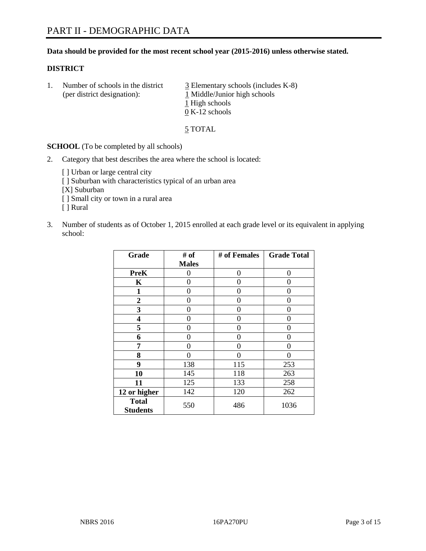#### **Data should be provided for the most recent school year (2015-2016) unless otherwise stated.**

#### **DISTRICT**

1. Number of schools in the district  $\frac{3}{2}$  Elementary schools (includes K-8) (per district designation):  $\frac{1 \text{ Middle/Junior high schools}}{}$ 1 High schools 0 K-12 schools

5 TOTAL

**SCHOOL** (To be completed by all schools)

- 2. Category that best describes the area where the school is located:
	- [] Urban or large central city [ ] Suburban with characteristics typical of an urban area [X] Suburban [ ] Small city or town in a rural area [ ] Rural
- 3. Number of students as of October 1, 2015 enrolled at each grade level or its equivalent in applying school:

| Grade                           | # of         | # of Females | <b>Grade Total</b> |
|---------------------------------|--------------|--------------|--------------------|
|                                 | <b>Males</b> |              |                    |
| <b>PreK</b>                     | 0            | 0            | 0                  |
| K                               | 0            | 0            | $\Omega$           |
| 1                               | 0            | 0            | $\mathbf{\Omega}$  |
| 2                               | 0            | 0            | $\Omega$           |
| 3                               | 0            | 0            | $\Omega$           |
| 4                               | 0            | 0            | $\Omega$           |
| 5                               | 0            | 0            | 0                  |
| 6                               | 0            | 0            | $\Omega$           |
| 7                               | 0            | 0            | $\Omega$           |
| 8                               | 0            | 0            | $\theta$           |
| 9                               | 138          | 115          | 253                |
| 10                              | 145          | 118          | 263                |
| 11                              | 125          | 133          | 258                |
| 12 or higher                    | 142          | 120          | 262                |
| <b>Total</b><br><b>Students</b> | 550          | 486          | 1036               |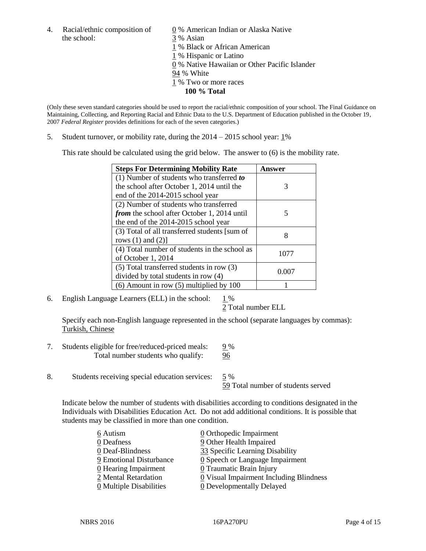4. Racial/ethnic composition of  $\underline{0}$  % American Indian or Alaska Native the school: 3 % Asian

 % Black or African American % Hispanic or Latino % Native Hawaiian or Other Pacific Islander 94 % White % Two or more races **100 % Total**

(Only these seven standard categories should be used to report the racial/ethnic composition of your school. The Final Guidance on Maintaining, Collecting, and Reporting Racial and Ethnic Data to the U.S. Department of Education published in the October 19, 2007 *Federal Register* provides definitions for each of the seven categories.)

5. Student turnover, or mobility rate, during the  $2014 - 2015$  school year:  $1\%$ 

This rate should be calculated using the grid below. The answer to (6) is the mobility rate.

| <b>Steps For Determining Mobility Rate</b>         | Answer |  |
|----------------------------------------------------|--------|--|
| (1) Number of students who transferred $to$        |        |  |
| the school after October 1, 2014 until the         | 3      |  |
| end of the 2014-2015 school year                   |        |  |
| (2) Number of students who transferred             |        |  |
| <i>from</i> the school after October 1, 2014 until | 5      |  |
| the end of the 2014-2015 school year               |        |  |
| (3) Total of all transferred students [sum of      | 8      |  |
| rows $(1)$ and $(2)$ ]                             |        |  |
| (4) Total number of students in the school as      | 1077   |  |
| of October 1, 2014                                 |        |  |
| (5) Total transferred students in row (3)          | 0.007  |  |
| divided by total students in row (4)               |        |  |
| $(6)$ Amount in row $(5)$ multiplied by 100        |        |  |

6. English Language Learners (ELL) in the school:  $1\%$ 

2 Total number ELL

Specify each non-English language represented in the school (separate languages by commas): Turkish, Chinese

- 7. Students eligible for free/reduced-priced meals: 9 % Total number students who qualify: 96
- 8. Students receiving special education services: 5 %

59 Total number of students served

Indicate below the number of students with disabilities according to conditions designated in the Individuals with Disabilities Education Act. Do not add additional conditions. It is possible that students may be classified in more than one condition.

| 6 Autism                           | $\underline{0}$ Orthopedic Impairment         |
|------------------------------------|-----------------------------------------------|
| 0 Deafness                         | 9 Other Health Impaired                       |
| 0 Deaf-Blindness                   | 33 Specific Learning Disability               |
| 9 Emotional Disturbance            | $\underline{0}$ Speech or Language Impairment |
| $\underline{0}$ Hearing Impairment | $0$ Traumatic Brain Injury                    |
| 2 Mental Retardation               | 0 Visual Impairment Including Blindness       |
| 0 Multiple Disabilities            | <b>0</b> Developmentally Delayed              |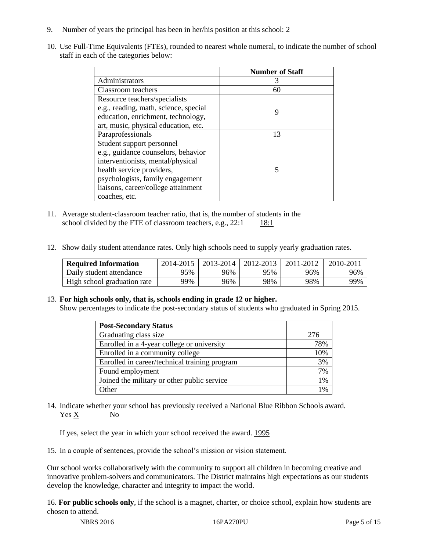- 9. Number of years the principal has been in her/his position at this school: 2
- 10. Use Full-Time Equivalents (FTEs), rounded to nearest whole numeral, to indicate the number of school staff in each of the categories below:

|                                       | <b>Number of Staff</b> |
|---------------------------------------|------------------------|
| Administrators                        | 3                      |
| Classroom teachers                    | 60                     |
| Resource teachers/specialists         |                        |
| e.g., reading, math, science, special | 9                      |
| education, enrichment, technology,    |                        |
| art, music, physical education, etc.  |                        |
| Paraprofessionals                     | 13                     |
| Student support personnel             |                        |
| e.g., guidance counselors, behavior   |                        |
| interventionists, mental/physical     |                        |
| health service providers,             | 5                      |
| psychologists, family engagement      |                        |
| liaisons, career/college attainment   |                        |
| coaches, etc.                         |                        |

- 11. Average student-classroom teacher ratio, that is, the number of students in the school divided by the FTE of classroom teachers, e.g.,  $22:1$  18:1
- 12. Show daily student attendance rates. Only high schools need to supply yearly graduation rates.

| <b>Required Information</b> | 2014-2015 | 2013-2014 | 2012-2013 | 2011-2012 | $2010 - 201$ |
|-----------------------------|-----------|-----------|-----------|-----------|--------------|
| Daily student attendance    | 95%       | 96%       | 95%       | 96%       | 96%          |
| High school graduation rate | 99%       | 96%       | 98%       | 98%       | 99%          |

#### 13. **For high schools only, that is, schools ending in grade 12 or higher.**

Show percentages to indicate the post-secondary status of students who graduated in Spring 2015.

| <b>Post-Secondary Status</b>                  |     |
|-----------------------------------------------|-----|
| Graduating class size                         | 276 |
| Enrolled in a 4-year college or university    | 78% |
| Enrolled in a community college               | 10% |
| Enrolled in career/technical training program | 3%  |
| Found employment                              | 7%  |
| Joined the military or other public service   | 1%  |
| Other                                         | 1%  |

14. Indicate whether your school has previously received a National Blue Ribbon Schools award. Yes X No

If yes, select the year in which your school received the award. 1995

15. In a couple of sentences, provide the school's mission or vision statement.

Our school works collaboratively with the community to support all children in becoming creative and innovative problem-solvers and communicators. The District maintains high expectations as our students develop the knowledge, character and integrity to impact the world.

16. **For public schools only**, if the school is a magnet, charter, or choice school, explain how students are chosen to attend.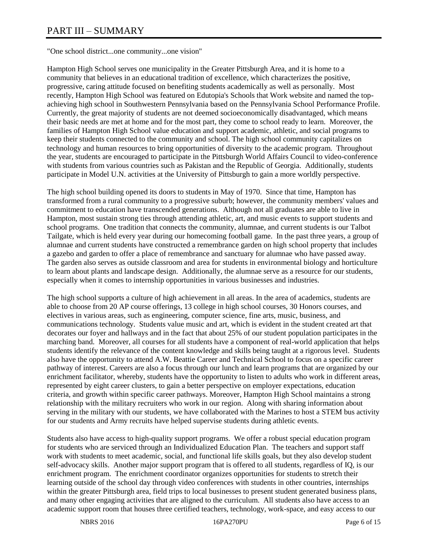# PART III – SUMMARY

"One school district...one community...one vision"

Hampton High School serves one municipality in the Greater Pittsburgh Area, and it is home to a community that believes in an educational tradition of excellence, which characterizes the positive, progressive, caring attitude focused on benefiting students academically as well as personally. Most recently, Hampton High School was featured on Edutopia's Schools that Work website and named the topachieving high school in Southwestern Pennsylvania based on the Pennsylvania School Performance Profile. Currently, the great majority of students are not deemed socioeconomically disadvantaged, which means their basic needs are met at home and for the most part, they come to school ready to learn. Moreover, the families of Hampton High School value education and support academic, athletic, and social programs to keep their students connected to the community and school. The high school community capitalizes on technology and human resources to bring opportunities of diversity to the academic program. Throughout the year, students are encouraged to participate in the Pittsburgh World Affairs Council to video-conference with students from various countries such as Pakistan and the Republic of Georgia. Additionally, students participate in Model U.N. activities at the University of Pittsburgh to gain a more worldly perspective.

The high school building opened its doors to students in May of 1970. Since that time, Hampton has transformed from a rural community to a progressive suburb; however, the community members' values and commitment to education have transcended generations. Although not all graduates are able to live in Hampton, most sustain strong ties through attending athletic, art, and music events to support students and school programs. One tradition that connects the community, alumnae, and current students is our Talbot Tailgate, which is held every year during our homecoming football game. In the past three years, a group of alumnae and current students have constructed a remembrance garden on high school property that includes a gazebo and garden to offer a place of remembrance and sanctuary for alumnae who have passed away. The garden also serves as outside classroom and area for students in environmental biology and horticulture to learn about plants and landscape design. Additionally, the alumnae serve as a resource for our students, especially when it comes to internship opportunities in various businesses and industries.

The high school supports a culture of high achievement in all areas. In the area of academics, students are able to choose from 20 AP course offerings, 13 college in high school courses, 30 Honors courses, and electives in various areas, such as engineering, computer science, fine arts, music, business, and communications technology. Students value music and art, which is evident in the student created art that decorates our foyer and hallways and in the fact that about 25% of our student population participates in the marching band. Moreover, all courses for all students have a component of real-world application that helps students identify the relevance of the content knowledge and skills being taught at a rigorous level. Students also have the opportunity to attend A.W. Beattie Career and Technical School to focus on a specific career pathway of interest. Careers are also a focus through our lunch and learn programs that are organized by our enrichment facilitator, whereby, students have the opportunity to listen to adults who work in different areas, represented by eight career clusters, to gain a better perspective on employer expectations, education criteria, and growth within specific career pathways. Moreover, Hampton High School maintains a strong relationship with the military recruiters who work in our region. Along with sharing information about serving in the military with our students, we have collaborated with the Marines to host a STEM bus activity for our students and Army recruits have helped supervise students during athletic events.

Students also have access to high-quality support programs. We offer a robust special education program for students who are serviced through an Individualized Education Plan. The teachers and support staff work with students to meet academic, social, and functional life skills goals, but they also develop student self-advocacy skills. Another major support program that is offered to all students, regardless of IQ, is our enrichment program. The enrichment coordinator organizes opportunities for students to stretch their learning outside of the school day through video conferences with students in other countries, internships within the greater Pittsburgh area, field trips to local businesses to present student generated business plans, and many other engaging activities that are aligned to the curriculum. All students also have access to an academic support room that houses three certified teachers, technology, work-space, and easy access to our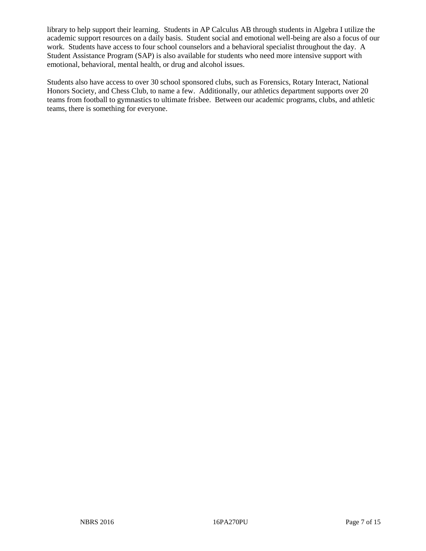library to help support their learning. Students in AP Calculus AB through students in Algebra I utilize the academic support resources on a daily basis. Student social and emotional well-being are also a focus of our work. Students have access to four school counselors and a behavioral specialist throughout the day. A Student Assistance Program (SAP) is also available for students who need more intensive support with emotional, behavioral, mental health, or drug and alcohol issues.

Students also have access to over 30 school sponsored clubs, such as Forensics, Rotary Interact, National Honors Society, and Chess Club, to name a few. Additionally, our athletics department supports over 20 teams from football to gymnastics to ultimate frisbee. Between our academic programs, clubs, and athletic teams, there is something for everyone.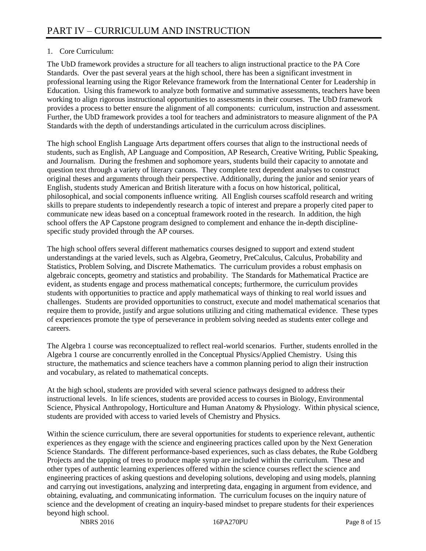# 1. Core Curriculum:

The UbD framework provides a structure for all teachers to align instructional practice to the PA Core Standards. Over the past several years at the high school, there has been a significant investment in professional learning using the Rigor Relevance framework from the International Center for Leadership in Education. Using this framework to analyze both formative and summative assessments, teachers have been working to align rigorous instructional opportunities to assessments in their courses. The UbD framework provides a process to better ensure the alignment of all components: curriculum, instruction and assessment. Further, the UbD framework provides a tool for teachers and administrators to measure alignment of the PA Standards with the depth of understandings articulated in the curriculum across disciplines.

The high school English Language Arts department offers courses that align to the instructional needs of students, such as English, AP Language and Composition, AP Research, Creative Writing, Public Speaking, and Journalism. During the freshmen and sophomore years, students build their capacity to annotate and question text through a variety of literary canons. They complete text dependent analyses to construct original theses and arguments through their perspective. Additionally, during the junior and senior years of English, students study American and British literature with a focus on how historical, political, philosophical, and social components influence writing. All English courses scaffold research and writing skills to prepare students to independently research a topic of interest and prepare a properly cited paper to communicate new ideas based on a conceptual framework rooted in the research. In addition, the high school offers the AP Capstone program designed to complement and enhance the in-depth disciplinespecific study provided through the AP courses.

The high school offers several different mathematics courses designed to support and extend student understandings at the varied levels, such as Algebra, Geometry, PreCalculus, Calculus, Probability and Statistics, Problem Solving, and Discrete Mathematics. The curriculum provides a robust emphasis on algebraic concepts, geometry and statistics and probability. The Standards for Mathematical Practice are evident, as students engage and process mathematical concepts; furthermore, the curriculum provides students with opportunities to practice and apply mathematical ways of thinking to real world issues and challenges. Students are provided opportunities to construct, execute and model mathematical scenarios that require them to provide, justify and argue solutions utilizing and citing mathematical evidence. These types of experiences promote the type of perseverance in problem solving needed as students enter college and careers.

The Algebra 1 course was reconceptualized to reflect real-world scenarios. Further, students enrolled in the Algebra 1 course are concurrently enrolled in the Conceptual Physics/Applied Chemistry. Using this structure, the mathematics and science teachers have a common planning period to align their instruction and vocabulary, as related to mathematical concepts.

At the high school, students are provided with several science pathways designed to address their instructional levels. In life sciences, students are provided access to courses in Biology, Environmental Science, Physical Anthropology, Horticulture and Human Anatomy & Physiology. Within physical science, students are provided with access to varied levels of Chemistry and Physics.

Within the science curriculum, there are several opportunities for students to experience relevant, authentic experiences as they engage with the science and engineering practices called upon by the Next Generation Science Standards. The different performance-based experiences, such as class debates, the Rube Goldberg Projects and the tapping of trees to produce maple syrup are included within the curriculum. These and other types of authentic learning experiences offered within the science courses reflect the science and engineering practices of asking questions and developing solutions, developing and using models, planning and carrying out investigations, analyzing and interpreting data, engaging in argument from evidence, and obtaining, evaluating, and communicating information. The curriculum focuses on the inquiry nature of science and the development of creating an inquiry-based mindset to prepare students for their experiences beyond high school.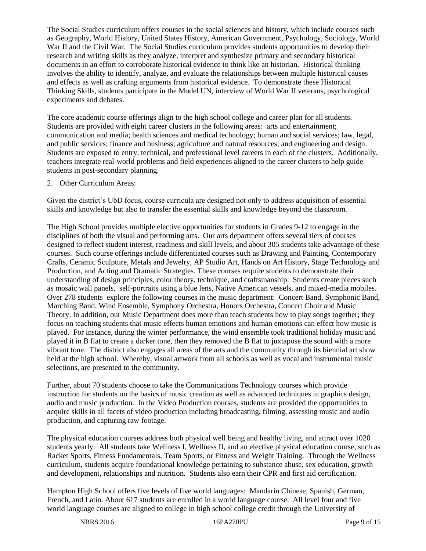The Social Studies curriculum offers courses in the social sciences and history, which include courses such as Geography, World History, United States History, American Government, Psychology, Sociology, World War II and the Civil War. The Social Studies curriculum provides students opportunities to develop their research and writing skills as they analyze, interpret and synthesize primary and secondary historical documents in an effort to corroborate historical evidence to think like an historian. Historical thinking involves the ability to identify, analyze, and evaluate the relationships between multiple historical causes and effects as well as crafting arguments from historical evidence. To demonstrate these Historical Thinking Skills, students participate in the Model UN, interview of World War II veterans, psychological experiments and debates.

The core academic course offerings align to the high school college and career plan for all students. Students are provided with eight career clusters in the following areas: arts and entertainment; communication and media; health sciences and medical technology; human and social services; law, legal, and public services; finance and business; agriculture and natural resources; and engineering and design. Students are exposed to entry, technical, and professional level careers in each of the clusters. Additionally, teachers integrate real-world problems and field experiences aligned to the career clusters to help guide students in post-secondary planning.

#### 2. Other Curriculum Areas:

Given the district's UbD focus, course curricula are designed not only to address acquisition of essential skills and knowledge but also to transfer the essential skills and knowledge beyond the classroom.

The High School provides multiple elective opportunities for students in Grades 9-12 to engage in the disciplines of both the visual and performing arts. Our arts department offers several tiers of courses designed to reflect student interest, readiness and skill levels, and about 305 students take advantage of these courses. Such course offerings include differentiated courses such as Drawing and Painting, Contemporary Crafts, Ceramic Sculpture, Metals and Jewelry, AP Studio Art, Hands on Art History, Stage Technology and Production, and Acting and Dramatic Strategies. These courses require students to demonstrate their understanding of design principles, color theory, technique, and craftsmanship. Students create pieces such as mosaic wall panels, self-portraits using a blue lens, Native American vessels, and mixed-media mobiles. Over 278 students explore the following courses in the music department: Concert Band, Symphonic Band, Marching Band, Wind Ensemble, Symphony Orchestra, Honors Orchestra, Concert Choir and Music Theory. In addition, our Music Department does more than teach students how to play songs together; they focus on teaching students that music effects human emotions and human emotions can effect how music is played. For instance, during the winter performance, the wind ensemble took traditional holiday music and played it in B flat to create a darker tone, then they removed the B flat to juxtapose the sound with a more vibrant tone. The district also engages all areas of the arts and the community through its biennial art show held at the high school. Whereby, visual artwork from all schools as well as vocal and instrumental music selections, are presented to the community.

Further, about 70 students choose to take the Communications Technology courses which provide instruction for students on the basics of music creation as well as advanced techniques in graphics design, audio and music production. In the Video Production courses, students are provided the opportunities to acquire skills in all facets of video production including broadcasting, filming, assessing music and audio production, and capturing raw footage.

The physical education courses address both physical well being and healthy living, and attract over 1020 students yearly. All students take Wellness I, Wellness II, and an elective physical education course, such as Racket Sports, Fitness Fundamentals, Team Sports, or Fitness and Weight Training. Through the Wellness curriculum, students acquire foundational knowledge pertaining to substance abuse, sex education, growth and development, relationships and nutrition. Students also earn their CPR and first aid certification.

Hampton High School offers five levels of five world languages: Mandarin Chinese, Spanish, German, French, and Latin. About 617 students are enrolled in a world language course. All level four and five world language courses are aligned to college in high school college credit through the University of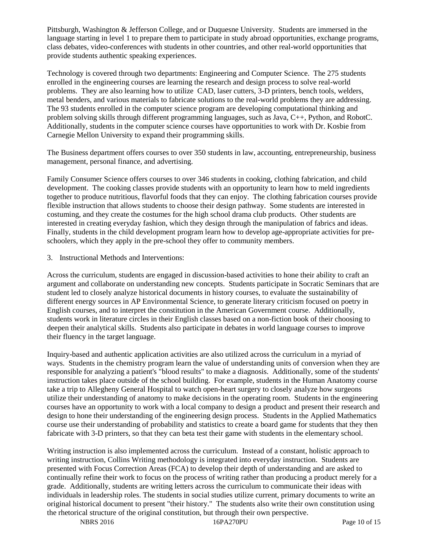Pittsburgh, Washington & Jefferson College, and or Duquesne University. Students are immersed in the language starting in level 1 to prepare them to participate in study abroad opportunities, exchange programs, class debates, video-conferences with students in other countries, and other real-world opportunities that provide students authentic speaking experiences.

Technology is covered through two departments: Engineering and Computer Science. The 275 students enrolled in the engineering courses are learning the research and design process to solve real-world problems. They are also learning how to utilize CAD, laser cutters, 3-D printers, bench tools, welders, metal benders, and various materials to fabricate solutions to the real-world problems they are addressing. The 93 students enrolled in the computer science program are developing computational thinking and problem solving skills through different programming languages, such as Java, C++, Python, and RobotC. Additionally, students in the computer science courses have opportunities to work with Dr. Kosbie from Carnegie Mellon University to expand their programming skills.

The Business department offers courses to over 350 students in law, accounting, entrepreneurship, business management, personal finance, and advertising.

Family Consumer Science offers courses to over 346 students in cooking, clothing fabrication, and child development. The cooking classes provide students with an opportunity to learn how to meld ingredients together to produce nutritious, flavorful foods that they can enjoy. The clothing fabrication courses provide flexible instruction that allows students to choose their design pathway. Some students are interested in costuming, and they create the costumes for the high school drama club products. Other students are interested in creating everyday fashion, which they design through the manipulation of fabrics and ideas. Finally, students in the child development program learn how to develop age-appropriate activities for preschoolers, which they apply in the pre-school they offer to community members.

3. Instructional Methods and Interventions:

Across the curriculum, students are engaged in discussion-based activities to hone their ability to craft an argument and collaborate on understanding new concepts. Students participate in Socratic Seminars that are student led to closely analyze historical documents in history courses, to evaluate the sustainability of different energy sources in AP Environmental Science, to generate literary criticism focused on poetry in English courses, and to interpret the constitution in the American Government course. Additionally, students work in literature circles in their English classes based on a non-fiction book of their choosing to deepen their analytical skills. Students also participate in debates in world language courses to improve their fluency in the target language.

Inquiry-based and authentic application activities are also utilized across the curriculum in a myriad of ways. Students in the chemistry program learn the value of understanding units of conversion when they are responsible for analyzing a patient's "blood results" to make a diagnosis. Additionally, some of the students' instruction takes place outside of the school building. For example, students in the Human Anatomy course take a trip to Allegheny General Hospital to watch open-heart surgery to closely analyze how surgeons utilize their understanding of anatomy to make decisions in the operating room. Students in the engineering courses have an opportunity to work with a local company to design a product and present their research and design to hone their understanding of the engineering design process. Students in the Applied Mathematics course use their understanding of probability and statistics to create a board game for students that they then fabricate with 3-D printers, so that they can beta test their game with students in the elementary school.

Writing instruction is also implemented across the curriculum. Instead of a constant, holistic approach to writing instruction, Collins Writing methodology is integrated into everyday instruction. Students are presented with Focus Correction Areas (FCA) to develop their depth of understanding and are asked to continually refine their work to focus on the process of writing rather than producing a product merely for a grade. Additionally, students are writing letters across the curriculum to communicate their ideas with individuals in leadership roles. The students in social studies utilize current, primary documents to write an original historical document to present "their history." The students also write their own constitution using the rhetorical structure of the original constitution, but through their own perspective.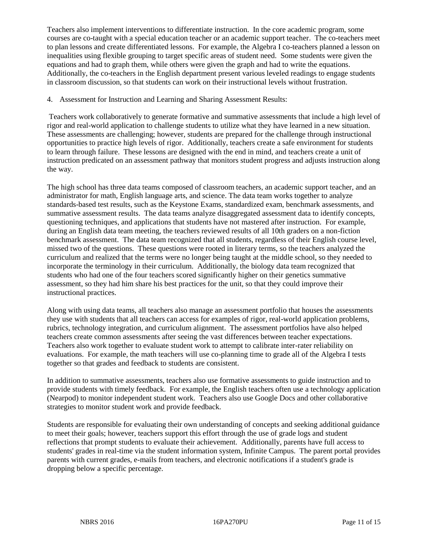Teachers also implement interventions to differentiate instruction. In the core academic program, some courses are co-taught with a special education teacher or an academic support teacher. The co-teachers meet to plan lessons and create differentiated lessons. For example, the Algebra I co-teachers planned a lesson on inequalities using flexible grouping to target specific areas of student need. Some students were given the equations and had to graph them, while others were given the graph and had to write the equations. Additionally, the co-teachers in the English department present various leveled readings to engage students in classroom discussion, so that students can work on their instructional levels without frustration.

#### 4. Assessment for Instruction and Learning and Sharing Assessment Results:

Teachers work collaboratively to generate formative and summative assessments that include a high level of rigor and real-world application to challenge students to utilize what they have learned in a new situation. These assessments are challenging; however, students are prepared for the challenge through instructional opportunities to practice high levels of rigor. Additionally, teachers create a safe environment for students to learn through failure. These lessons are designed with the end in mind, and teachers create a unit of instruction predicated on an assessment pathway that monitors student progress and adjusts instruction along the way.

The high school has three data teams composed of classroom teachers, an academic support teacher, and an administrator for math, English language arts, and science. The data team works together to analyze standards-based test results, such as the Keystone Exams, standardized exam, benchmark assessments, and summative assessment results. The data teams analyze disaggregated assessment data to identify concepts, questioning techniques, and applications that students have not mastered after instruction. For example, during an English data team meeting, the teachers reviewed results of all 10th graders on a non-fiction benchmark assessment. The data team recognized that all students, regardless of their English course level, missed two of the questions. These questions were rooted in literary terms, so the teachers analyzed the curriculum and realized that the terms were no longer being taught at the middle school, so they needed to incorporate the terminology in their curriculum. Additionally, the biology data team recognized that students who had one of the four teachers scored significantly higher on their genetics summative assessment, so they had him share his best practices for the unit, so that they could improve their instructional practices.

Along with using data teams, all teachers also manage an assessment portfolio that houses the assessments they use with students that all teachers can access for examples of rigor, real-world application problems, rubrics, technology integration, and curriculum alignment. The assessment portfolios have also helped teachers create common assessments after seeing the vast differences between teacher expectations. Teachers also work together to evaluate student work to attempt to calibrate inter-rater reliability on evaluations. For example, the math teachers will use co-planning time to grade all of the Algebra I tests together so that grades and feedback to students are consistent.

In addition to summative assessments, teachers also use formative assessments to guide instruction and to provide students with timely feedback. For example, the English teachers often use a technology application (Nearpod) to monitor independent student work. Teachers also use Google Docs and other collaborative strategies to monitor student work and provide feedback.

Students are responsible for evaluating their own understanding of concepts and seeking additional guidance to meet their goals; however, teachers support this effort through the use of grade logs and student reflections that prompt students to evaluate their achievement. Additionally, parents have full access to students' grades in real-time via the student information system, Infinite Campus. The parent portal provides parents with current grades, e-mails from teachers, and electronic notifications if a student's grade is dropping below a specific percentage.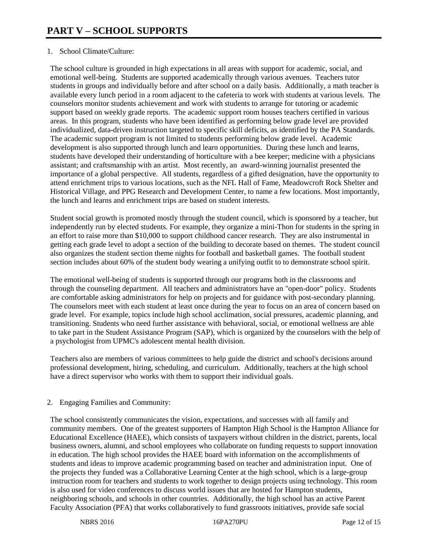### 1. School Climate/Culture:

The school culture is grounded in high expectations in all areas with support for academic, social, and emotional well-being. Students are supported academically through various avenues. Teachers tutor students in groups and individually before and after school on a daily basis. Additionally, a math teacher is available every lunch period in a room adjacent to the cafeteria to work with students at various levels. The counselors monitor students achievement and work with students to arrange for tutoring or academic support based on weekly grade reports. The academic support room houses teachers certified in various areas. In this program, students who have been identified as performing below grade level are provided individualized, data-driven instruction targeted to specific skill deficits, as identified by the PA Standards. The academic support program is not limited to students performing below grade level. Academic development is also supported through lunch and learn opportunities. During these lunch and learns, students have developed their understanding of horticulture with a bee keeper; medicine with a physicians assistant; and craftsmanship with an artist. Most recently, an award-winning journalist presented the importance of a global perspective. All students, regardless of a gifted designation, have the opportunity to attend enrichment trips to various locations, such as the NFL Hall of Fame, Meadowcroft Rock Shelter and Historical Village, and PPG Research and Development Center, to name a few locations. Most importantly, the lunch and learns and enrichment trips are based on student interests.

Student social growth is promoted mostly through the student council, which is sponsored by a teacher, but independently run by elected students. For example, they organize a mini-Thon for students in the spring in an effort to raise more than \$10,000 to support childhood cancer research. They are also instrumental in getting each grade level to adopt a section of the building to decorate based on themes. The student council also organizes the student section theme nights for football and basketball games. The football student section includes about 60% of the student body wearing a unifying outfit to to demonstrate school spirit.

The emotional well-being of students is supported through our programs both in the classrooms and through the counseling department. All teachers and administrators have an "open-door" policy. Students are comfortable asking administrators for help on projects and for guidance with post-secondary planning. The counselors meet with each student at least once during the year to focus on an area of concern based on grade level. For example, topics include high school acclimation, social pressures, academic planning, and transitioning. Students who need further assistance with behavioral, social, or emotional wellness are able to take part in the Student Assistance Program (SAP), which is organized by the counselors with the help of a psychologist from UPMC's adolescent mental health division.

Teachers also are members of various committees to help guide the district and school's decisions around professional development, hiring, scheduling, and curriculum. Additionally, teachers at the high school have a direct supervisor who works with them to support their individual goals.

## 2. Engaging Families and Community:

The school consistently communicates the vision, expectations, and successes with all family and community members. One of the greatest supporters of Hampton High School is the Hampton Alliance for Educational Excellence (HAEE), which consists of taxpayers without children in the district, parents, local business owners, alumni, and school employees who collaborate on funding requests to support innovation in education. The high school provides the HAEE board with information on the accomplishments of students and ideas to improve academic programming based on teacher and administration input. One of the projects they funded was a Collaborative Learning Center at the high school, which is a large-group instruction room for teachers and students to work together to design projects using technology. This room is also used for video conferences to discuss world issues that are hosted for Hampton students, neighboring schools, and schools in other countries. Additionally, the high school has an active Parent Faculty Association (PFA) that works collaboratively to fund grassroots initiatives, provide safe social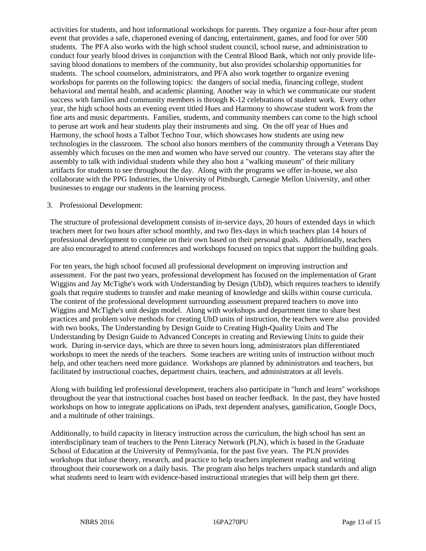activities for students, and host informational workshops for parents. They organize a four-hour after prom event that provides a safe, chaperoned evening of dancing, entertainment, games, and food for over 500 students. The PFA also works with the high school student council, school nurse, and administration to conduct four yearly blood drives in conjunction with the Central Blood Bank, which not only provide lifesaving blood donations to members of the community, but also provides scholarship opportunities for students. The school counselors, administrators, and PFA also work together to organize evening workshops for parents on the following topics: the dangers of social media, financing college, student behavioral and mental health, and academic planning. Another way in which we communicate our student success with families and community members is through K-12 celebrations of student work. Every other year, the high school hosts an evening event titled Hues and Harmony to showcase student work from the fine arts and music departments. Families, students, and community members can come to the high school to peruse art work and hear students play their instruments and sing. On the off year of Hues and Harmony, the school hosts a Talbot Techno Tour, which showcases how students are using new technologies in the classroom. The school also honors members of the community through a Veterans Day assembly which focuses on the men and women who have served our country. The veterans stay after the assembly to talk with individual students while they also host a "walking museum" of their military artifacts for students to see throughout the day. Along with the programs we offer in-house, we also collaborate with the PPG Industries, the University of Pittsburgh, Carnegie Mellon University, and other businesses to engage our students in the learning process.

#### 3. Professional Development:

The structure of professional development consists of in-service days, 20 hours of extended days in which teachers meet for two hours after school monthly, and two flex-days in which teachers plan 14 hours of professional development to complete on their own based on their personal goals. Additionally, teachers are also encouraged to attend conferences and workshops focused on topics that support the building goals.

For ten years, the high school focused all professional development on improving instruction and assessment. For the past two years, professional development has focused on the implementation of Grant Wiggins and Jay McTighe's work with Understanding by Design (UbD), which requires teachers to identify goals that require students to transfer and make meaning of knowledge and skills within course curricula. The content of the professional development surrounding assessment prepared teachers to move into Wiggins and McTighe's unit design model. Along with workshops and department time to share best practices and problem solve methods for creating UbD units of instruction, the teachers were also provided with two books, The Understanding by Design Guide to Creating High-Quality Units and The Understanding by Design Guide to Advanced Concepts in creating and Reviewing Units to guide their work. During in-service days, which are three to seven hours long, administrators plan differentiated workshops to meet the needs of the teachers. Some teachers are writing units of instruction without much help, and other teachers need more guidance. Workshops are planned by administrators and teachers, but facilitated by instructional coaches, department chairs, teachers, and administrators at all levels.

Along with building led professional development, teachers also participate in "lunch and learn" workshops throughout the year that instructional coaches host based on teacher feedback. In the past, they have hosted workshops on how to integrate applications on iPads, text dependent analyses, gamification, Google Docs, and a multitude of other trainings.

Additionally, to build capacity in literacy instruction across the curriculum, the high school has sent an interdisciplinary team of teachers to the Penn Literacy Network (PLN), which is based in the Graduate School of Education at the University of Pennsylvania, for the past five years. The PLN provides workshops that infuse theory, research, and practice to help teachers implement reading and writing throughout their coursework on a daily basis. The program also helps teachers unpack standards and align what students need to learn with evidence-based instructional strategies that will help them get there.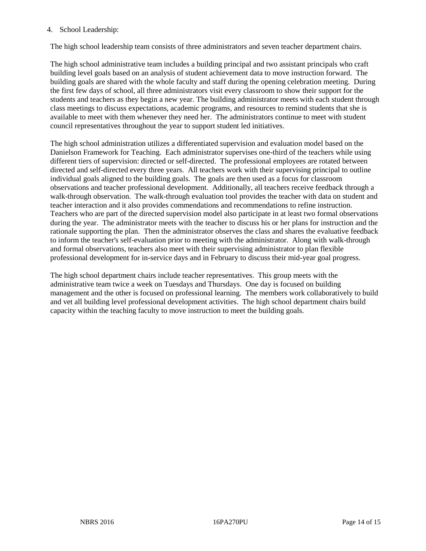#### 4. School Leadership:

The high school leadership team consists of three administrators and seven teacher department chairs.

The high school administrative team includes a building principal and two assistant principals who craft building level goals based on an analysis of student achievement data to move instruction forward. The building goals are shared with the whole faculty and staff during the opening celebration meeting. During the first few days of school, all three administrators visit every classroom to show their support for the students and teachers as they begin a new year. The building administrator meets with each student through class meetings to discuss expectations, academic programs, and resources to remind students that she is available to meet with them whenever they need her. The administrators continue to meet with student council representatives throughout the year to support student led initiatives.

The high school administration utilizes a differentiated supervision and evaluation model based on the Danielson Framework for Teaching. Each administrator supervises one-third of the teachers while using different tiers of supervision: directed or self-directed. The professional employees are rotated between directed and self-directed every three years. All teachers work with their supervising principal to outline individual goals aligned to the building goals. The goals are then used as a focus for classroom observations and teacher professional development. Additionally, all teachers receive feedback through a walk-through observation. The walk-through evaluation tool provides the teacher with data on student and teacher interaction and it also provides commendations and recommendations to refine instruction. Teachers who are part of the directed supervision model also participate in at least two formal observations during the year. The administrator meets with the teacher to discuss his or her plans for instruction and the rationale supporting the plan. Then the administrator observes the class and shares the evaluative feedback to inform the teacher's self-evaluation prior to meeting with the administrator. Along with walk-through and formal observations, teachers also meet with their supervising administrator to plan flexible professional development for in-service days and in February to discuss their mid-year goal progress.

The high school department chairs include teacher representatives. This group meets with the administrative team twice a week on Tuesdays and Thursdays. One day is focused on building management and the other is focused on professional learning. The members work collaboratively to build and vet all building level professional development activities. The high school department chairs build capacity within the teaching faculty to move instruction to meet the building goals.